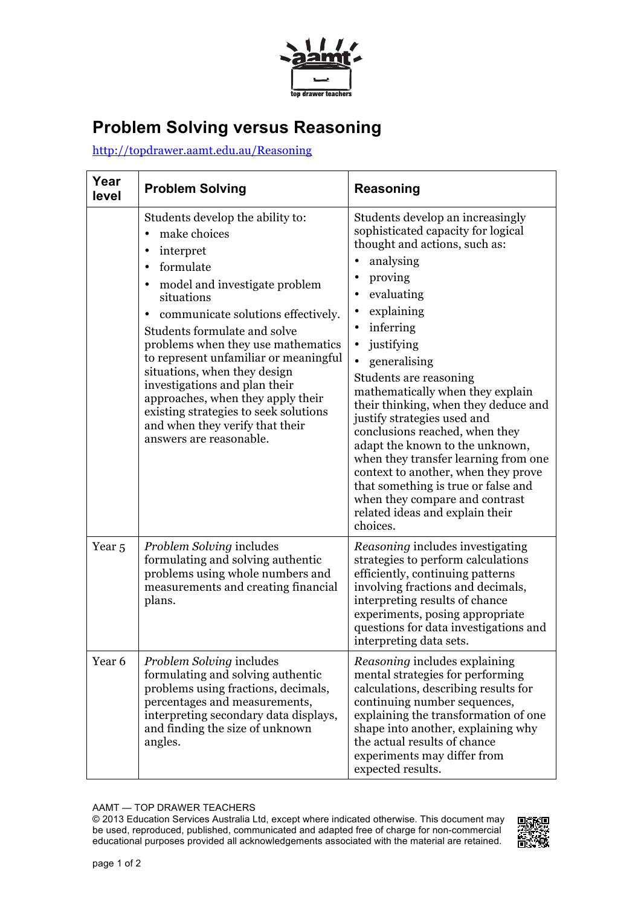

## **Problem Solving versus Reasoning**

http://topdrawer.aamt.edu.au/Reasoning

| Year<br>level     | <b>Problem Solving</b>                                                                                                                                                                                                                                                                                                                                                                                                                                                                      | Reasoning                                                                                                                                                                                                                                                                                                                                                                                                                                                                                                                                                                                                                            |
|-------------------|---------------------------------------------------------------------------------------------------------------------------------------------------------------------------------------------------------------------------------------------------------------------------------------------------------------------------------------------------------------------------------------------------------------------------------------------------------------------------------------------|--------------------------------------------------------------------------------------------------------------------------------------------------------------------------------------------------------------------------------------------------------------------------------------------------------------------------------------------------------------------------------------------------------------------------------------------------------------------------------------------------------------------------------------------------------------------------------------------------------------------------------------|
|                   | Students develop the ability to:<br>make choices<br>interpret<br>formulate<br>model and investigate problem<br>situations<br>communicate solutions effectively.<br>Students formulate and solve<br>problems when they use mathematics<br>to represent unfamiliar or meaningful<br>situations, when they design<br>investigations and plan their<br>approaches, when they apply their<br>existing strategies to seek solutions<br>and when they verify that their<br>answers are reasonable. | Students develop an increasingly<br>sophisticated capacity for logical<br>thought and actions, such as:<br>analysing<br>proving<br>evaluating<br>explaining<br>inferring<br>$\bullet$<br>justifying<br>generalising<br>Students are reasoning<br>mathematically when they explain<br>their thinking, when they deduce and<br>justify strategies used and<br>conclusions reached, when they<br>adapt the known to the unknown,<br>when they transfer learning from one<br>context to another, when they prove<br>that something is true or false and<br>when they compare and contrast<br>related ideas and explain their<br>choices. |
| Year <sub>5</sub> | Problem Solving includes<br>formulating and solving authentic<br>problems using whole numbers and<br>measurements and creating financial<br>plans.                                                                                                                                                                                                                                                                                                                                          | Reasoning includes investigating<br>strategies to perform calculations<br>efficiently, continuing patterns<br>involving fractions and decimals,<br>interpreting results of chance<br>experiments, posing appropriate<br>questions for data investigations and<br>interpreting data sets.                                                                                                                                                                                                                                                                                                                                             |
| Year 6            | Problem Solving includes<br>formulating and solving authentic<br>problems using fractions, decimals,<br>percentages and measurements,<br>interpreting secondary data displays,<br>and finding the size of unknown<br>angles.                                                                                                                                                                                                                                                                | Reasoning includes explaining<br>mental strategies for performing<br>calculations, describing results for<br>continuing number sequences,<br>explaining the transformation of one<br>shape into another, explaining why<br>the actual results of chance<br>experiments may differ from<br>expected results.                                                                                                                                                                                                                                                                                                                          |

## AAMT — TOP DRAWER TEACHERS

 © 2013 Education Services Australia Ltd, except where indicated otherwise. This document may be used, reproduced, published, communicated and adapted free of charge for non-commercial educational purposes provided all acknowledgements associated with the material are retained.